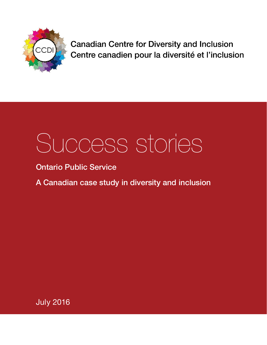

**Canadian Centre for Diversity and Inclusion** Centre canadien pour la diversité et l'inclusion

# Success stories

Ontario Public Service

A Canadian case study in diversity and inclusion

July 2016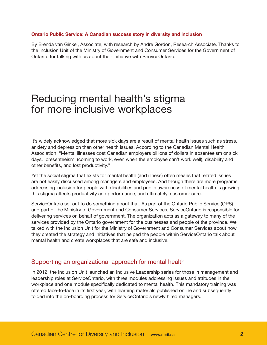#### **Ontario Public Service: A Canadian success story in diversity and inclusion**

By Brenda van Ginkel, Associate, with research by Andre Gordon, Research Associate. Thanks to the Inclusion Unit of the Ministry of Government and Consumer Services for the Government of Ontario, for talking with us about their initiative with ServiceOntario.

# Reducing mental health's stigma for more inclusive workplaces

It's widely acknowledged that more sick days are a result of mental health issues such as stress, anxiety and depression than other health issues. According to the Canadian Mental Health Association, "Mental illnesses cost Canadian employers billions of dollars in absenteeism or sick days, 'presenteeism' (coming to work, even when the employee can't work well), disability and other benefits, and lost productivity."

Yet the social stigma that exists for mental health (and illness) often means that related issues are not easily discussed among managers and employees. And though there are more programs addressing inclusion for people with disabilities and public awareness of mental health is growing, this stigma affects productivity and performance, and ultimately, customer care.

ServiceOntario set out to do something about that. As part of the Ontario Public Service (OPS), and part of the Ministry of Government and Consumer Services, ServiceOntario is responsible for delivering services on behalf of government. The organization acts as a gateway to many of the services provided by the Ontario government for the businesses and people of the province. We talked with the Inclusion Unit for the Ministry of Government and Consumer Services about how they created the strategy and initiatives that helped the people within ServiceOntario talk about mental health and create workplaces that are safe and inclusive.

### Supporting an organizational approach for mental health

In 2012, the Inclusion Unit launched an Inclusive Leadership series for those in management and leadership roles at ServiceOntario, with three modules addressing issues and attitudes in the workplace and one module specifically dedicated to mental health. This mandatory training was offered face-to-face in its first year, with learning materials published online and subsequently folded into the on-boarding process for ServiceOntario's newly hired managers.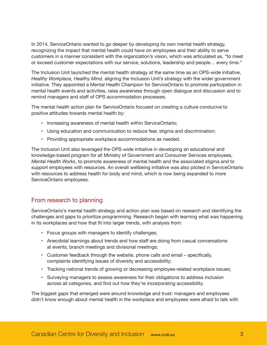In 2014, ServiceOntario wanted to go deeper by developing its own mental health strategy, recognizing the impact that mental health could have on employees and their ability to serve customers in a manner consistent with the organization's vision, which was articulated as, "to meet or exceed customer expectations with our service, solutions, leadership and people… every time."

The Inclusion Unit launched the mental health strategy at the same time as an OPS-wide initiative, *Healthy Workplace, Healthy Mind*, aligning the Inclusion Unit's strategy with the wider government initiative. They appointed a Mental Health Champion for ServiceOntario to promote participation in mental health events and activities, raise awareness through open dialogue and discussion and to remind managers and staff of OPS accommodation processes.

The mental health action plan for ServiceOntario focused on creating a culture conducive to positive attitudes towards mental health by:

- Increasing awareness of mental health within ServiceOntario;
- Using education and communication to reduce fear, stigma and discrimination;
- Providing appropriate workplace accommodations as needed.

The Inclusion Unit also leveraged the OPS-wide initiative in developing an educational and knowledge-based program for all Ministry of Government and Consumer Services employees, *Mental Health Works*, to promote awareness of mental health and the associated stigma and to support employees with resources. An overall wellbeing initiative was also piloted in ServiceOntario with resources to address health for body and mind, which is now being expanded to more ServiceOntario employees.

# From research to planning

ServiceOntario's mental health strategy and action plan was based on research and identifying the challenges and gaps to prioritize programming. Research began with learning what was happening in its workplaces and how that fit into larger trends, with analysis from:

- Focus groups with managers to identify challenges;
- Anecdotal learnings about trends and how staff are doing from casual conversations at events, branch meetings and divisional meetings;
- Customer feedback through the website, phone calls and email specifically, complaints identifying issues of diversity and accessibility;
- Tracking national trends of growing or decreasing employee-related workplace issues;
- Surveying managers to assess awareness for their obligations to address inclusion across all categories, and find out how they're incorporating accessibility.

The biggest gaps that emerged were around knowledge and trust: managers and employees didn't know enough about mental health in the workplace and employees were afraid to talk with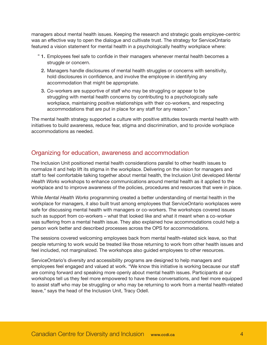managers about mental health issues. Keeping the research and strategic goals employee-centric was an effective way to open the dialogue and cultivate trust. The strategy for ServiceOntario featured a vision statement for mental health in a psychologically healthy workplace where:

- 1. Employees feel safe to confide in their managers whenever mental health becomes a "struggle or concern.
	- 2. Managers handle disclosures of mental health struggles or concerns with sensitivity, hold disclosures in confidence, and involve the employee in identifying any accommodation that might be appropriate.
	- 3. Co-workers are supportive of staff who may be struggling or appear to be struggling with mental health concerns by contributing to a psychologically safe workplace, maintaining positive relationships with their co-workers, and respecting accommodations that are put in place for any staff for any reason."

The mental health strategy supported a culture with positive attitudes towards mental health with initiatives to build awareness, reduce fear, stigma and discrimination, and to provide workplace accommodations as needed.

# Organizing for education, awareness and accommodation

The Inclusion Unit positioned mental health considerations parallel to other health issues to normalize it and help lift its stigma in the workplace. Delivering on the vision for managers and staff to feel comfortable talking together about mental health, the Inclusion Unit developed *Mental Health Works* workshops to enhance communications around mental health as it applied to the workplace and to improve awareness of the policies, procedures and resources that were in place.

While *Mental Health Works* programming created a better understanding of mental health in the workplace for managers, it also built trust among employees that ServiceOntario workplaces were safe for discussing mental health with managers or co-workers. The workshops covered issues such as support from co-workers – what that looked like and what it meant when a co-worker was suffering from a mental health issue. They also explained how accommodations could help a person work better and described processes across the OPS for accommodations.

The sessions covered welcoming employees back from mental health-related sick leave, so that people returning to work would be treated like those returning to work from other health issues and feel included, not marginalized. The workshops also guided employees to other resources.

ServiceOntario's diversity and accessibility programs are designed to help managers and employees feel engaged and valued at work. "We know this initiative is working because our staff are coming forward and speaking more openly about mental health issues. Participants at our workshops tell us they feel more empowered to have these conversations, and feel more equipped to assist staff who may be struggling or who may be returning to work from a mental health-related leave," says the head of the Inclusion Unit, Tracy Odell.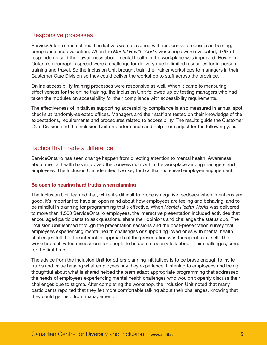## Responsive processes

ServiceOntario's mental health initiatives were designed with responsive processes in training, compliance and evaluation. When the *Mental Health Works* workshops were evaluated, 97% of respondents said their awareness about mental health in the workplace was improved. However, Ontario's geographic spread were a challenge for delivery due to limited resources for in-person training and travel. So the Inclusion Unit brought train-the-trainer workshops to managers in their Customer Care Division so they could deliver the workshop to staff across the province.

Online accessibility training processes were responsive as well. When it came to measuring effectiveness for the online training, the Inclusion Unit followed up by testing managers who had taken the modules on accessibility for their compliance with accessibility requirements.

The effectiveness of initiatives supporting accessibility compliance is also measured in annual spot checks at randomly-selected offices. Managers and their staff are tested on their knowledge of the expectations, requirements and procedures related to accessibility. The results guide the Customer Care Division and the Inclusion Unit on performance and help them adjust for the following year.

# Tactics that made a difference

ServiceOntario has seen change happen from directing attention to mental health. Awareness about mental health has improved the conversation within the workplace among managers and employees. The Inclusion Unit identified two key tactics that increased employee engagement.

#### **Be open to hearing hard truths when planning**

The Inclusion Unit learned that, while it's difficult to process negative feedback when intentions are good, it's important to have an open mind about how employees are feeling and behaving, and to be mindful in planning for programming that's effective. When *Mental Health Works* was delivered to more than 1,500 ServiceOntario employees, the interactive presentation included activities that encouraged participants to ask questions, share their opinions and challenge the status quo. The Inclusion Unit learned through the presentation sessions and the post-presentation survey that employees experiencing mental health challenges or supporting loved ones with mental health challenges felt that the interactive approach of the presentation was therapeutic in itself. The workshop cultivated discussions for people to be able to openly talk about their challenges, some for the first time.

The advice from the Inclusion Unit for others planning inititatives is to be brave enough to invite truths and value hearing what employees say they experience. Listening to employees and being thoughtful about what is shared helped the team adapt appropriate programming that addressed the needs of employees experiencing mental health challenges who wouldn't openly discuss their challenges due to stigma. After completing the workshop, the Inclusion Unit noted that many participants reported that they felt more comfortable talking about their challenges, knowing that they could get help from management.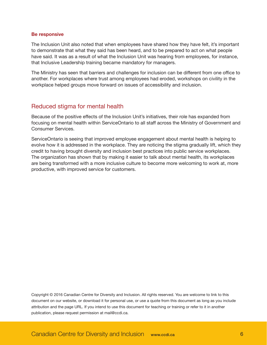#### **Be responsive**

The Inclusion Unit also noted that when employees have shared how they have felt, it's important to demonstrate that what they said has been heard, and to be prepared to act on what people have said. It was as a result of what the Inclusion Unit was hearing from employees, for instance, that Inclusive Leadership training became mandatory for managers.

The Ministry has seen that barriers and challenges for inclusion can be different from one office to another. For workplaces where trust among employees had eroded, workshops on civility in the workplace helped groups move forward on issues of accessibility and inclusion.

### Reduced stigma for mental health

Because of the positive effects of the Inclusion Unit's initiatives, their role has expanded from focusing on mental health within ServiceOntario to all staff across the Ministry of Government and Consumer Services.

ServiceOntario is seeing that improved employee engagement about mental health is helping to evolve how it is addressed in the workplace. They are noticing the stigma gradually lift, which they credit to having brought diversity and inclusion best practices into public service workplaces. The organization has shown that by making it easier to talk about mental health, its workplaces are being transformed with a more inclusive culture to become more welcoming to work at, more productive, with improved service for customers.

Copyright © 2016 Canadian Centre for Diversity and Inclusion. All rights reserved. You are welcome to link to this document on our website, or download it for personal use, or use a quote from this document as long as you include attribution and the page URL. If you intend to use this document for teaching or training or refer to it in another publication, please request permission at mail@ccdi.ca.